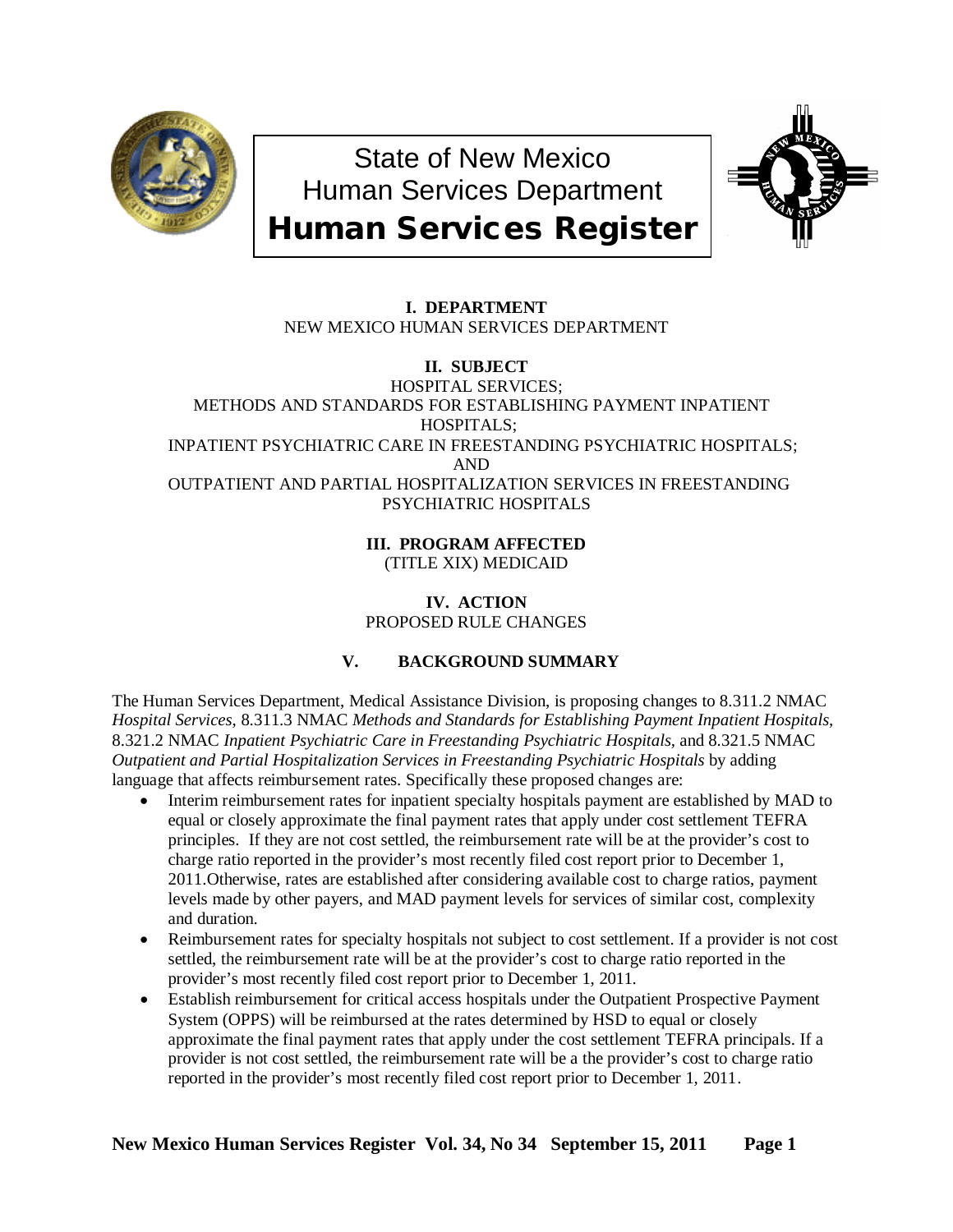

State of New Mexico Human Services Department Human Services Register



# **I. DEPARTMENT** NEW MEXICO HUMAN SERVICES DEPARTMENT

# **II. SUBJECT** HOSPITAL SERVICES; METHODS AND STANDARDS FOR ESTABLISHING PAYMENT INPATIENT HOSPITALS; INPATIENT PSYCHIATRIC CARE IN FREESTANDING PSYCHIATRIC HOSPITALS; AND OUTPATIENT AND PARTIAL HOSPITALIZATION SERVICES IN FREESTANDING PSYCHIATRIC HOSPITALS

**III. PROGRAM AFFECTED** (TITLE XIX) MEDICAID

# **IV. ACTION** PROPOSED RULE CHANGES

# **V. BACKGROUND SUMMARY**

The Human Services Department, Medical Assistance Division, is proposing changes to 8.311.2 NMAC *Hospital Services*, 8.311.3 NMAC *Methods and Standards for Establishing Payment Inpatient Hospitals,*  8.321.2 NMAC *Inpatient Psychiatric Care in Freestanding Psychiatric Hospitals,* and 8.321.5 NMAC *Outpatient and Partial Hospitalization Services in Freestanding Psychiatric Hospitals* by adding language that affects reimbursement rates. Specifically these proposed changes are:

- Interim reimbursement rates for inpatient specialty hospitals payment are established by MAD to equal or closely approximate the final payment rates that apply under cost settlement TEFRA principles. If they are not cost settled, the reimbursement rate will be at the provider's cost to charge ratio reported in the provider's most recently filed cost report prior to December 1, 2011.Otherwise, rates are established after considering available cost to charge ratios, payment levels made by other payers, and MAD payment levels for services of similar cost, complexity and duration.
- Reimbursement rates for specialty hospitals not subject to cost settlement. If a provider is not cost settled, the reimbursement rate will be at the provider's cost to charge ratio reported in the provider's most recently filed cost report prior to December 1, 2011.
- Establish reimbursement for critical access hospitals under the Outpatient Prospective Payment System (OPPS) will be reimbursed at the rates determined by HSD to equal or closely approximate the final payment rates that apply under the cost settlement TEFRA principals. If a provider is not cost settled, the reimbursement rate will be a the provider's cost to charge ratio reported in the provider's most recently filed cost report prior to December 1, 2011.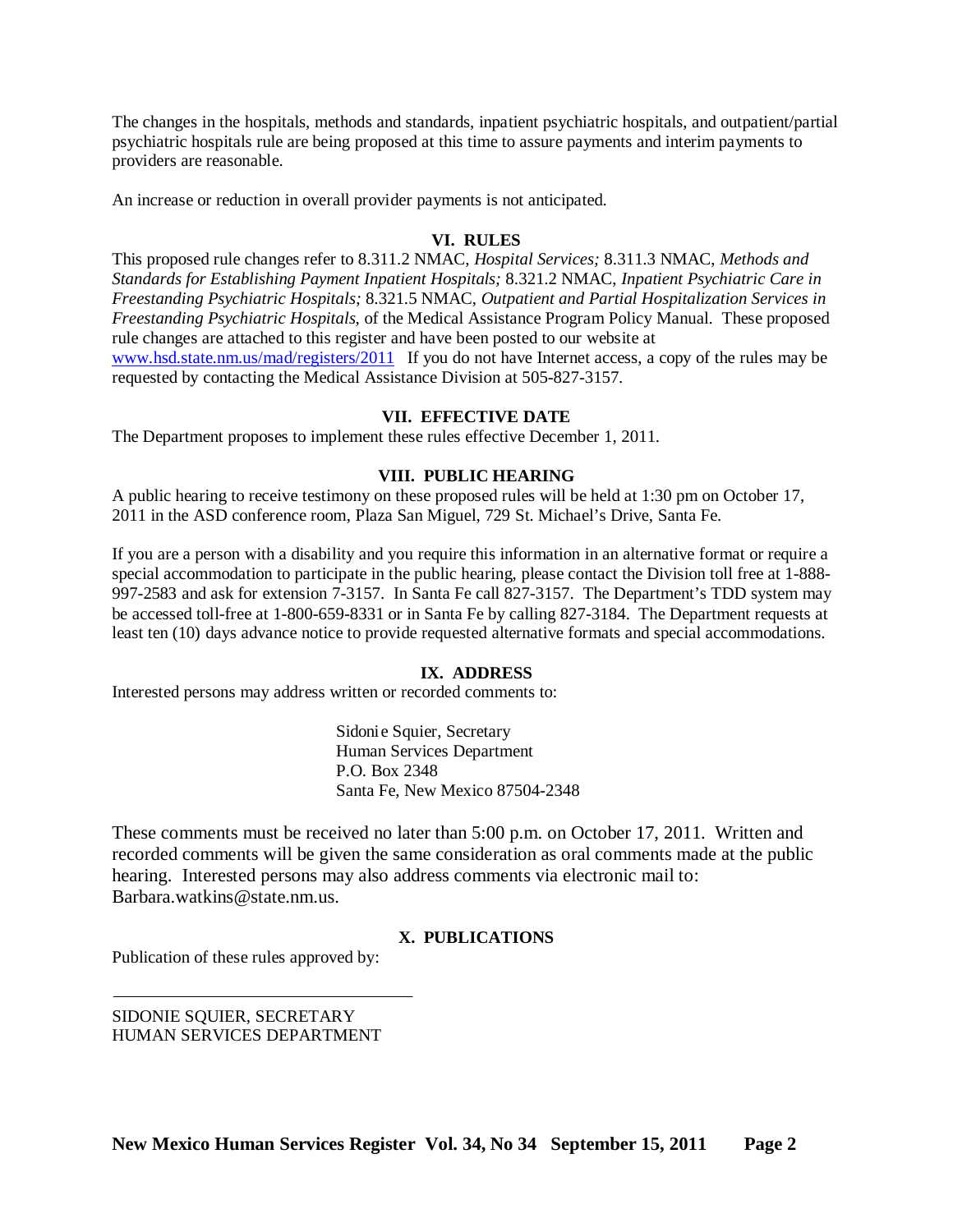The changes in the hospitals, methods and standards, inpatient psychiatric hospitals, and outpatient/partial psychiatric hospitals rule are being proposed at this time to assure payments and interim payments to providers are reasonable.

An increase or reduction in overall provider payments is not anticipated.

## **VI. RULES**

This proposed rule changes refer to 8.311.2 NMAC, *Hospital Services;* 8.311.3 NMAC, *Methods and Standards for Establishing Payment Inpatient Hospitals;* 8.321.2 NMAC, *Inpatient Psychiatric Care in Freestanding Psychiatric Hospitals;* 8.321.5 NMAC, *Outpatient and Partial Hospitalization Services in Freestanding Psychiatric Hospitals,* of the Medical Assistance Program Policy Manual. These proposed rule changes are attached to this register and have been posted to our website at [www.hsd.state.nm.us/mad/registers/2011](http://www.hsd.state.nm.us/mad/registers/2011) If you do not have Internet access, a copy of the rules may be requested by contacting the Medical Assistance Division at 505-827-3157.

#### **VII. EFFECTIVE DATE**

The Department proposes to implement these rules effective December 1, 2011.

## **VIII. PUBLIC HEARING**

A public hearing to receive testimony on these proposed rules will be held at 1:30 pm on October 17, 2011 in the ASD conference room, Plaza San Miguel, 729 St. Michael's Drive, Santa Fe.

If you are a person with a disability and you require this information in an alternative format or require a special accommodation to participate in the public hearing, please contact the Division toll free at 1-888- 997-2583 and ask for extension 7-3157. In Santa Fe call 827-3157. The Department's TDD system may be accessed toll-free at 1-800-659-8331 or in Santa Fe by calling 827-3184. The Department requests at least ten (10) days advance notice to provide requested alternative formats and special accommodations.

#### **IX. ADDRESS**

Interested persons may address written or recorded comments to:

Sidonie Squier, Secretary Human Services Department P.O. Box 2348 Santa Fe, New Mexico 87504-2348

These comments must be received no later than 5:00 p.m. on October 17, 2011. Written and recorded comments will be given the same consideration as oral comments made at the public hearing. Interested persons may also address comments via electronic mail to: Barbara.watkins@state.nm.us.

#### **X. PUBLICATIONS**

Publication of these rules approved by:

SIDONIE SQUIER, SECRETARY HUMAN SERVICES DEPARTMENT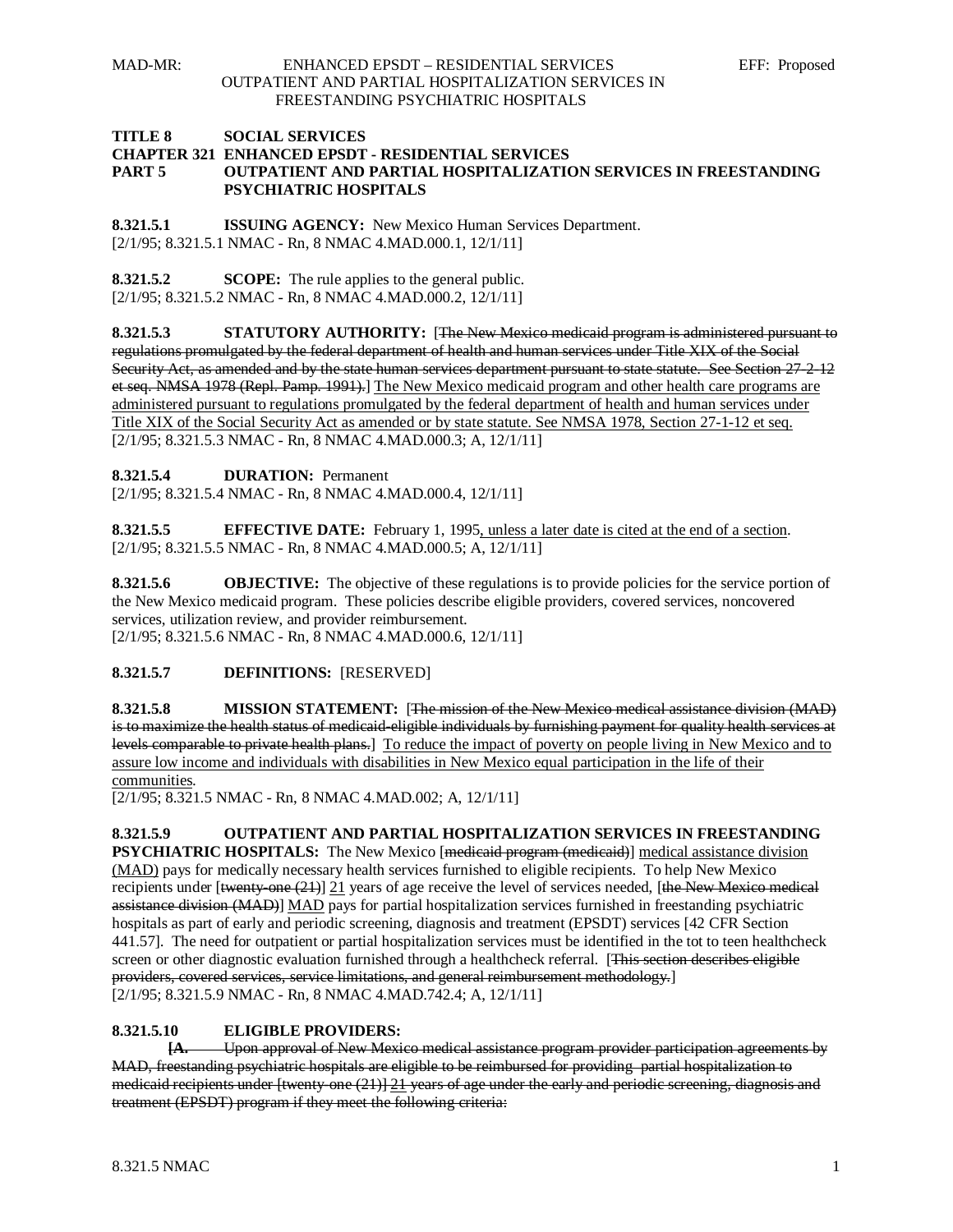#### **TITLE 8 SOCIAL SERVICES CHAPTER 321 ENHANCED EPSDT - RESIDENTIAL SERVICES PART 5 OUTPATIENT AND PARTIAL HOSPITALIZATION SERVICES IN FREESTANDING PSYCHIATRIC HOSPITALS**

**8.321.5.1 ISSUING AGENCY:** New Mexico Human Services Department. [2/1/95; 8.321.5.1 NMAC - Rn, 8 NMAC 4.MAD.000.1, 12/1/11]

**8.321.5.2 SCOPE:** The rule applies to the general public. [2/1/95; 8.321.5.2 NMAC - Rn, 8 NMAC 4.MAD.000.2, 12/1/11]

**8.321.5.3 STATUTORY AUTHORITY:** [The New Mexico medicaid program is administered pursuant to regulations promulgated by the federal department of health and human services under Title XIX of the Social Security Act, as amended and by the state human services department pursuant to state statute. See Section 27-2-12et seq. NMSA 1978 (Repl. Pamp. 1991).] The New Mexico medicaid program and other health care programs are administered pursuant to regulations promulgated by the federal department of health and human services under Title XIX of the Social Security Act as amended or by state statute. See NMSA 1978, Section 27-1-12 et seq. [2/1/95; 8.321.5.3 NMAC - Rn, 8 NMAC 4.MAD.000.3; A, 12/1/11]

**8.321.5.4 DURATION:** Permanent

[2/1/95; 8.321.5.4 NMAC - Rn, 8 NMAC 4.MAD.000.4, 12/1/11]

**8.321.5.5 EFFECTIVE DATE:** February 1, 1995, unless a later date is cited at the end of a section. [2/1/95; 8.321.5.5 NMAC - Rn, 8 NMAC 4.MAD.000.5; A, 12/1/11]

**8.321.5.6 OBJECTIVE:** The objective of these regulations is to provide policies for the service portion of the New Mexico medicaid program. These policies describe eligible providers, covered services, noncovered services, utilization review, and provider reimbursement. [2/1/95; 8.321.5.6 NMAC - Rn, 8 NMAC 4.MAD.000.6, 12/1/11]

## **8.321.5.7 DEFINITIONS:** [RESERVED]

**8.321.5.8 MISSION STATEMENT:** [The mission of the New Mexico medical assistance division (MAD) is to maximize the health status of medicaid eligible individuals by furnishing payment for quality health services at levels comparable to private health plans.] To reduce the impact of poverty on people living in New Mexico and to assure low income and individuals with disabilities in New Mexico equal participation in the life of their communities .

[2/1/95; 8.321.5 NMAC - Rn, 8 NMAC 4.MAD.002; A, 12/1/11]

**8.321.5.9 OUTPATIENT AND PARTIAL HOSPITALIZATION SERVICES IN FREESTANDING PSYCHIATRIC HOSPITALS:** The New Mexico [medicaid program (medicaid)] medical assistance division (MAD) pays for medically necessary health services furnished to eligible recipients. To help New Mexico recipients under [twenty-one (21)] 21 years of age receive the level of services needed, [the New Mexico medical assistance division (MAD)] MAD pays for partial hospitalization services furnished in freestanding psychiatric hospitals as part of early and periodic screening, diagnosis and treatment (EPSDT) services [42 CFR Section 441.57]. The need for outpatient or partial hospitalization services must be identified in the tot to teen healthcheck screen or other diagnostic evaluation furnished through a healthcheck referral. [This section describes eligible providers, covered services, service limitations, and general reimbursement methodology. ] [2/1/95; 8.321.5.9 NMAC - Rn, 8 NMAC 4.MAD.742.4; A, 12/1/11]

#### **8.321.5.10 ELIGIBLE PROVIDERS:**

**[A.** Upon approval of New Mexico medical assistance program provider participation agreements by MAD, freestanding psychiatric hospitals are eligible to be reimbursed for providing partial hospitalization to medicaid recipients under [twenty-one (21)] 21 years of age under the early and periodic screening, diagnosis and treatment (EPSDT) program if they meet the following criteria: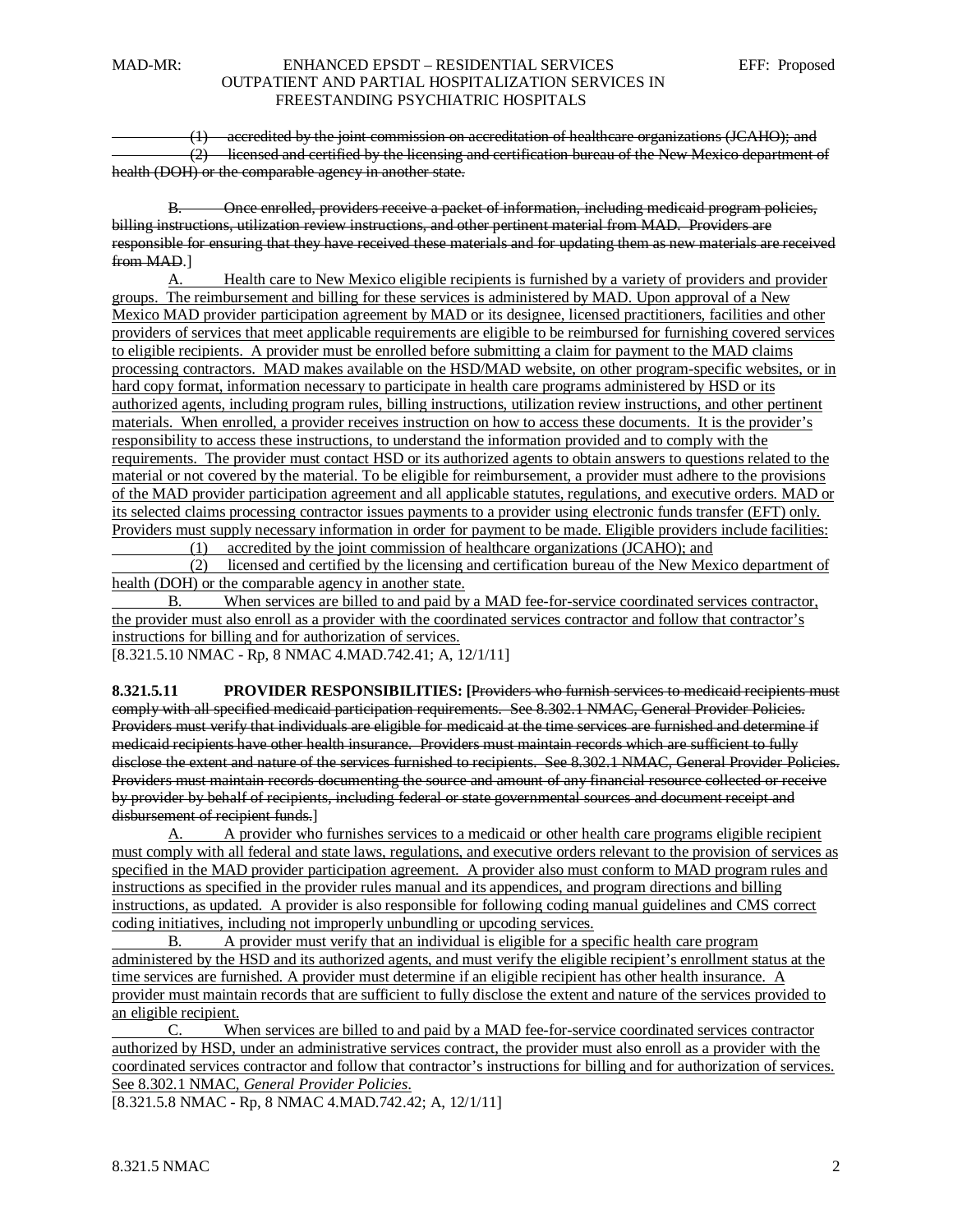(1) accredited by the joint commission on accreditation of healthcare organizations (JCAHO); and (2) licensed and certified by the licensing and certification bureau of the New Mexico department of health (DOH) or the comparable agency in another state.

B. Once enrolled, providers receive a packet of information, including medicaid program policies, billing instructions, utilization review instructions, and other pertinent material from MAD. Providers are responsible for ensuring that they have received these materials and for updating them as new materials are received from MAD.]

A. Health care to New Mexico eligible recipients is furnished by a variety of providers and provider groups. The reimbursement and billing for these services is administered by MAD. Upon approval of a New Mexico MAD provider participation agreement by MAD or its designee, licensed practitioners, facilities and other providers of services that meet applicable requirements are eligible to be reimbursed for furnishing covered services to eligible recipients. A provider must be enrolled before submitting a claim for payment to the MAD claims processing contractors. MAD makes available on the HSD/MAD website, on other program-specific websites, or in hard copy format, information necessary to participate in health care programs administered by HSD or its authorized agents, including program rules, billing instructions, utilization review instructions, and other pertinent materials. When enrolled, a provider receives instruction on how to access these documents. It is the provider's responsibility to access these instructions, to understand the information provided and to comply with the requirements. The provider must contact HSD or its authorized agents to obtain answers to questions related to the material or not covered by the material. To be eligible for reimbursement, a provider must adhere to the provisions of the MAD provider participation agreement and all applicable statutes, regulations, and executive orders. MAD or its selected claims processing contractor issues payments to a provider using electronic funds transfer (EFT) only. Providers must supply necessary information in order for payment to be made. Eligible providers include facilities: (1) accredited by the joint commission of healthcare organizations (JCAHO); and

 (2) licensed and certified by the licensing and certification bureau of the New Mexico department of health (DOH) or the comparable agency in another state.

B. When services are billed to and paid by a MAD fee-for-service coordinated services contractor, the provider must also enroll as a provider with the coordinated services contractor and follow that contractor's instructions for billing and for authorization of services.

[8.321.5.10 NMAC - Rp, 8 NMAC 4.MAD.742.41; A, 12/1/11]

**8.321.5.11 PROVIDER RESPONSIBILITIES: [**Providers who furnish services to medicaid recipients must comply with all specified medicaid participation requirements. See 8.302.1 NMAC, General Provider Policies. Providers must verify that individuals are eligible for medicaid at the time services are furnished and determine if medicaid recipients have other health insurance. Providers must maintain records which are sufficient to fully disclose the extent and nature of the services furnished to recipients. See 8.302.1 NMAC, General Provider Policies. Providers must maintain records documenting the source and amount of any financial resource collected or receive by provider by behalf of recipients, including federal or state governmental sources and document receipt and disbursement of recipient funds.]

A. A provider who furnishes services to a medicaid or other health care programs eligible recipient must comply with all federal and state laws, regulations, and executive orders relevant to the provision of services as specified in the MAD provider participation agreement. A provider also must conform to MAD program rules and instructions as specified in the provider rules manual and its appendices, and program directions and billing instructions, as updated. A provider is also responsible for following coding manual guidelines and CMS correct coding initiatives, including not improperly unbundling or upcoding services.

B. A provider must verify that an individual is eligible for a specific health care program administered by the HSD and its authorized agents, and must verify the eligible recipient's enrollment status at the time services are furnished. A provider must determine if an eligible recipient has other health insurance. A provider must maintain records that are sufficient to fully disclose the extent and nature of the services provided to an eligible recipient.

C. When services are billed to and paid by a MAD fee-for-service coordinated services contractor authorized by HSD, under an administrative services contract, the provider must also enroll as a provider with the coordinated services contractor and follow that contractor's instructions for billing and for authorization of services. See 8.302.1 NMAC, *General Provider Policies*.

[8.321.5.8 NMAC - Rp, 8 NMAC 4.MAD.742.42; A, 12/1/11]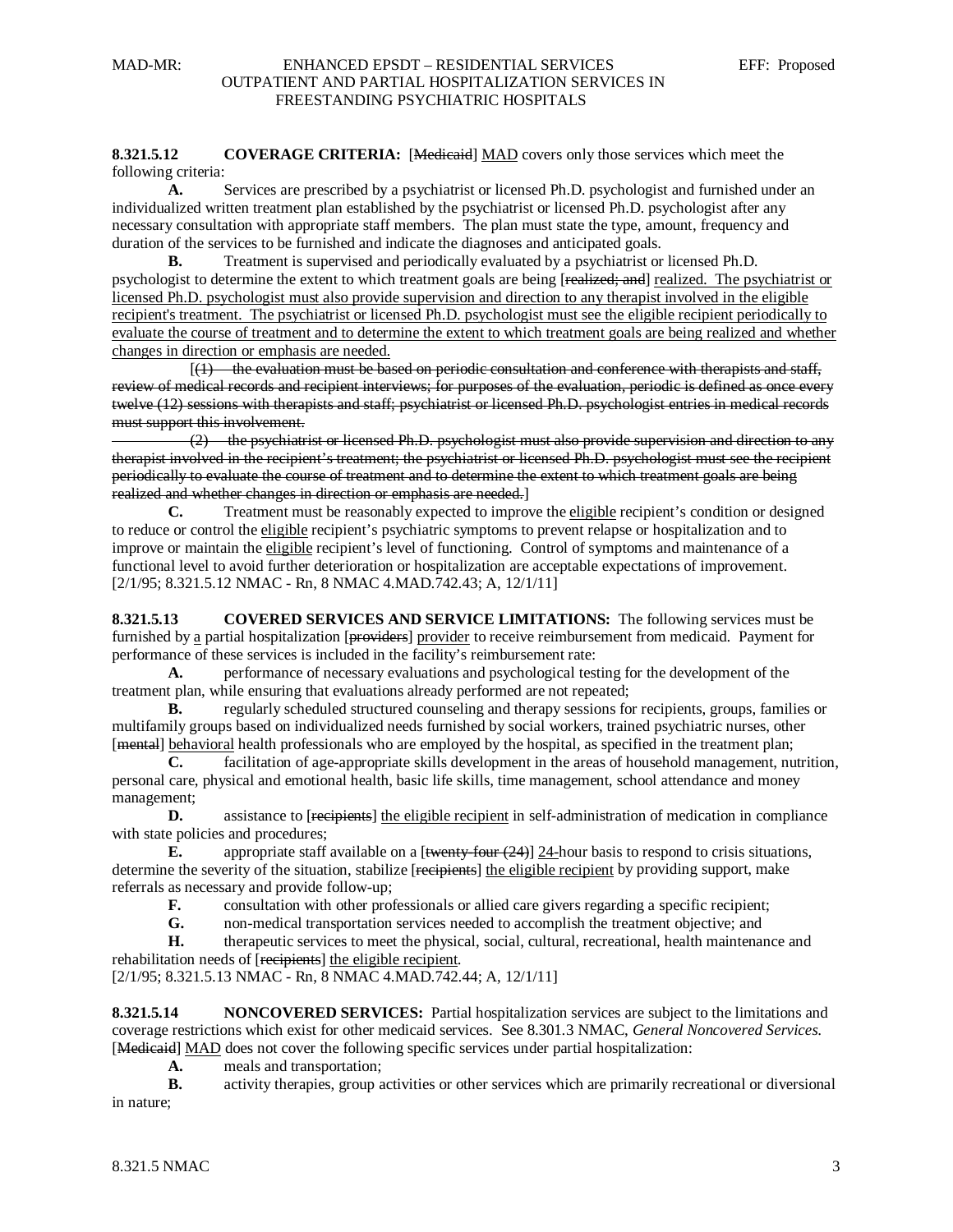#### **8.321.5.12 COVERAGE CRITERIA:** [Medicated] MAD covers only those services which meet the following criteria:

**A.** Services are prescribed by a psychiatrist or licensed Ph.D. psychologist and furnished under an individualized written treatment plan established by the psychiatrist or licensed Ph.D. psychologist after any necessary consultation with appropriate staff members. The plan must state the type, amount, frequency and duration of the services to be furnished and indicate the diagnoses and anticipated goals.

**B.** Treatment is supervised and periodically evaluated by a psychiatrist or licensed Ph.D. psychologist to determine the extent to which treatment goals are being [realized; and] realized. The psychiatrist or licensed Ph.D. psychologist must also provide supervision and direction to any therapist involved in the eligible recipient's treatment. The psychiatrist or licensed Ph.D. psychologist must see the eligible recipient periodically to evaluate the course of treatment and to determine the extent to which treatment goals are being realized and whether changes in direction or emphasis are needed.

 $\begin{bmatrix} 1 & 1 \\ 1 & 1 \end{bmatrix}$  $(1)$  the evaluation must be based on periodic consultation and conference with therapists and staff, review of medical records and recipient interviews; for purposes of the evaluation, periodic is defined as once every twelve (12) sessions with therapists and staff; psychiatrist or licensed Ph.D. psychologist entries in medical records must support this involvement.

 (2) the psychiatrist or licensed Ph.D. psychologist must also provide supervision and direction to any therapist involved in the recipient's treatment; the psychiatrist or licensed Ph.D. psychologist must see the recipient periodically to evaluate the course of treatment and to determine the extent to which treatment goals are being realized and whether changes in direction or emphasis are needed. ]

**C.** Treatment must be reasonably expected to improve the eligible recipient's condition or designed to reduce or control the eligible recipient's psychiatric symptoms to prevent relapse or hospitalization and to improve or maintain the eligible recipient's level of functioning. Control of symptoms and maintenance of a [2/1/95; 8.321.5.12 NMAC - Rn, 8 NMAC 4.MAD.742.43; A, 12/1/11] functional level to avoid further deterioration or hospitalization are acceptable expectations of improvement.

**8.321.5.13 COVERED SERVICES AND SERVICE LIMITATIONS:** The following services must be furnished by a partial hospitalization [<del>providers</del>] provider to receive reimbursement from medicaid. Payment for performance of these services is included in the facility's reimbursement rate:

**A.** performance of necessary evaluations and psychological testing for the development of the treatment plan, while ensuring that evaluations already performed are not repeated;

**B.** regularly scheduled structured counseling and therapy sessions for recipients, groups, families or multifamily groups based on individualized needs furnished by social workers, trained psychiatric nurses, other [mental] behavioral health professionals who are employed by the hospital, as specified in the treatment plan;

**C.** facilitation of age-appropriate skills development in the areas of household management, nutrition, personal care, physical and emotional health, basic life skills, time management, school attendance and money management;

**D.** assistance to [recipients] the eligible recipient in self-administration of medication in compliance with state policies and procedures:

**E.** appropriate staff available on a [twenty-four (24)] 24-hour basis to respond to crisis situations, determine the severity of the situation, stabilize [recipients] the eligible recipient by providing support, make referrals as necessary and provide follow-up;

**F.** consultation with other professionals or allied care givers regarding a specific recipient;<br>**G.** non-medical transportation services needed to accomplish the treatment objective: and

**G.** non-medical transportation services needed to accomplish the treatment objective; and

**H.** therapeutic services to meet the physical, social, cultural, recreational, health maintenance and rehabilitation needs of [recipients] the eligible recipient.

[2/1/95; 8.321.5.13 NMAC - Rn, 8 NMAC 4.MAD.742.44; A, 12/1/11]

**8.321.5.14 NONCOVERED SERVICES:** Partial hospitalization services are subject to the limitations and coverage restrictions which exist for other medicaid services. See 8.301.3 NMAC, *General Noncovered Services*. [Medicaid] MAD does not cover the following specific services under partial hospitalization:

**A.** meals and transportation;

**B.** activity therapies, group activities or other services which are primarily recreational or diversional in nature;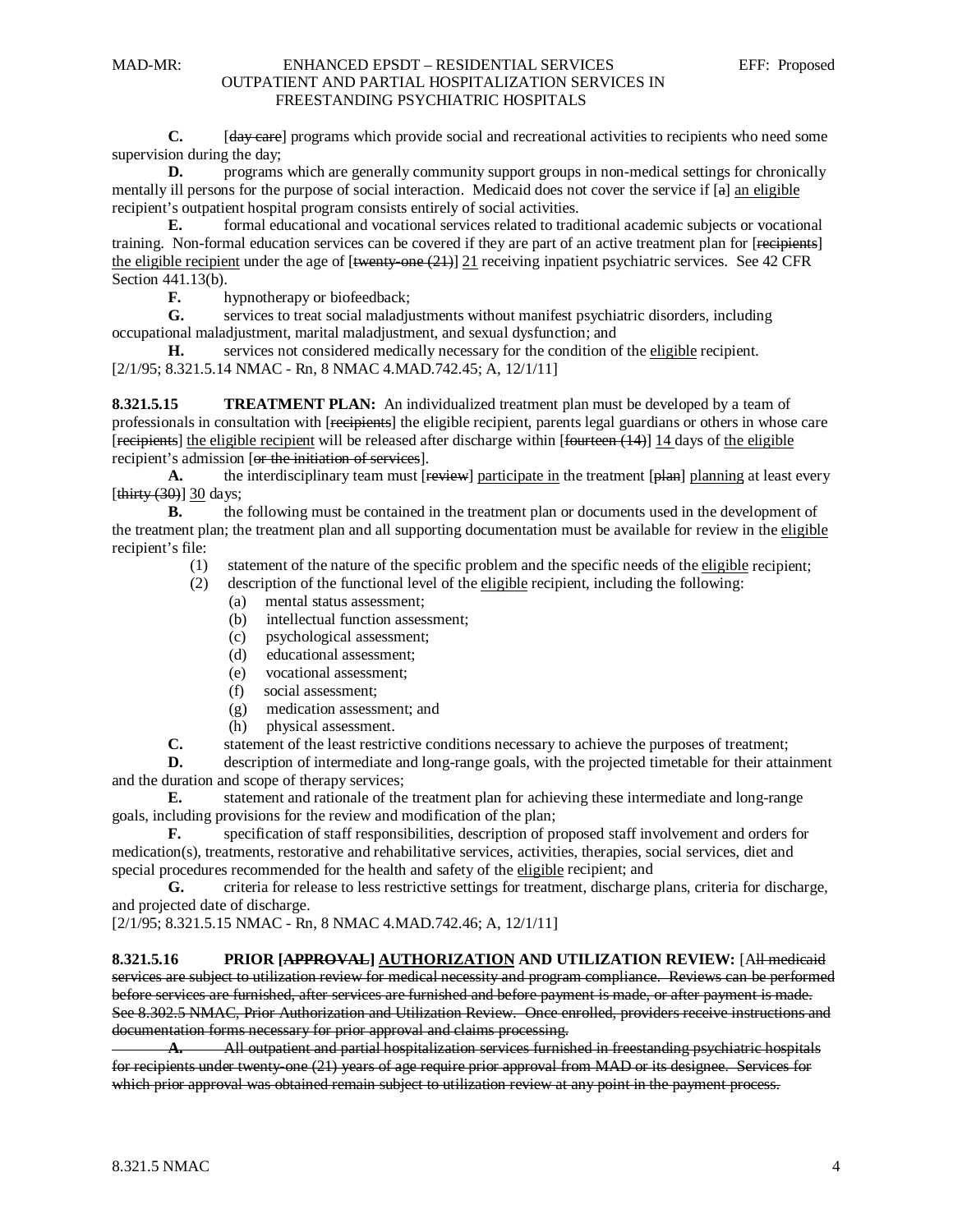**C.** [day care] programs which provide social and recreational activities to recipients who need some supervision during the day;

**D.** programs which are generally community support groups in non-medical settings for chronically mentally ill persons for the purpose of social interaction. Medicaid does not cover the service if [a] an eligible recipient's outpatient hospital program consists entirely of social activities.

**E.** formal educational and vocational services related to traditional academic subjects or vocational training. Non-formal education services can be covered if they are part of an active treatment plan for [<del>recipients</del>] the eligible recipient under the age of [<del>twenty-one (21)</del>] 21 receiving inpatient psychiatric services. See 42 CFR Section 441.13(b).

**F.** hypnotherapy or biofeedback;

**G.** services to treat social maladjustments without manifest psychiatric disorders, including occupational maladjustment, marital maladjustment, and sexual dysfunction; and

H. services not considered medically necessary for the condition of the eligible recipient. [2/1/95; 8.321.5.14 NMAC - Rn, 8 NMAC 4.MAD.742.45; A, 12/1/11]

**8.321.5.15 TREATMENT PLAN:** An individualized treatment plan must be developed by a team of professionals in consultation with [recipients] the eligible recipient, parents legal guardians or others in whose care [recipients] the eligible recipient will be released after discharge within [fourteen (14)] 14 days of the eligible recipient's admission [or the initiation of services].

A. the interdisciplinary team must [review] participate in the treatment [plan] planning at least every [thirty (30)] 30 days;

**B.** the following must be contained in the treatment plan or documents used in the development of the treatment plan; the treatment plan and all supporting documentation must be available for review in the eligible recipient's file:

- (1) statement of the nature of the specific problem and the specific needs of the eligible recipient;
- (2) description of the functional level of the eligible recipient, including the following:
	- (a) mental status assessment;
	- (b) intellectual function assessment;
	- (c) psychological assessment;
	- (d) educational assessment;
	- (e) vocational assessment;
	- (f) social assessment;
	- (g) medication assessment; and
	- (h) physical assessment.

**C.** statement of the least restrictive conditions necessary to achieve the purposes of treatment;

**D.** description of intermediate and long-range goals, with the projected timetable for their attainment and the duration and scope of therapy services;

**E.** statement and rationale of the treatment plan for achieving these intermediate and long-range goals, including provisions for the review and modification of the plan;

**F.** specification of staff responsibilities, description of proposed staff involvement and orders for medication(s), treatments, restorative and rehabilitative services, activities, therapies, social services, diet and special procedures recommended for the health and safety of the eligible recipient; and

**G.** criteria for release to less restrictive settings for treatment, discharge plans, criteria for discharge, and projected date of discharge.

[2/1/95; 8.321.5.15 NMAC - Rn, 8 NMAC 4.MAD.742.46; A, 12/1/11]

#### **8.321.5.16 PRIOR [APPROVAL] AUTHORIZATION AND UTILIZATION REVIEW:** [All medicaid services are subject to utilization review for medical necessity and program compliance. Reviews can be performed before services are furnished, after services are furnished and before payment is made, or after payment is made. See 8.302.5 NMAC, Prior Authorization and Utilization Review. Once enrolled, providers receive instructions and documentation forms necessary for prior approval and claims processing.

**A.** All outpatient and partial hospitalization services furnished in freestanding psychiatric hospitals for recipients under twenty-one (21) years of age require prior approval from MAD or its designee. Services for which prior approval was obtained remain subject to utilization review at any point in the payment process.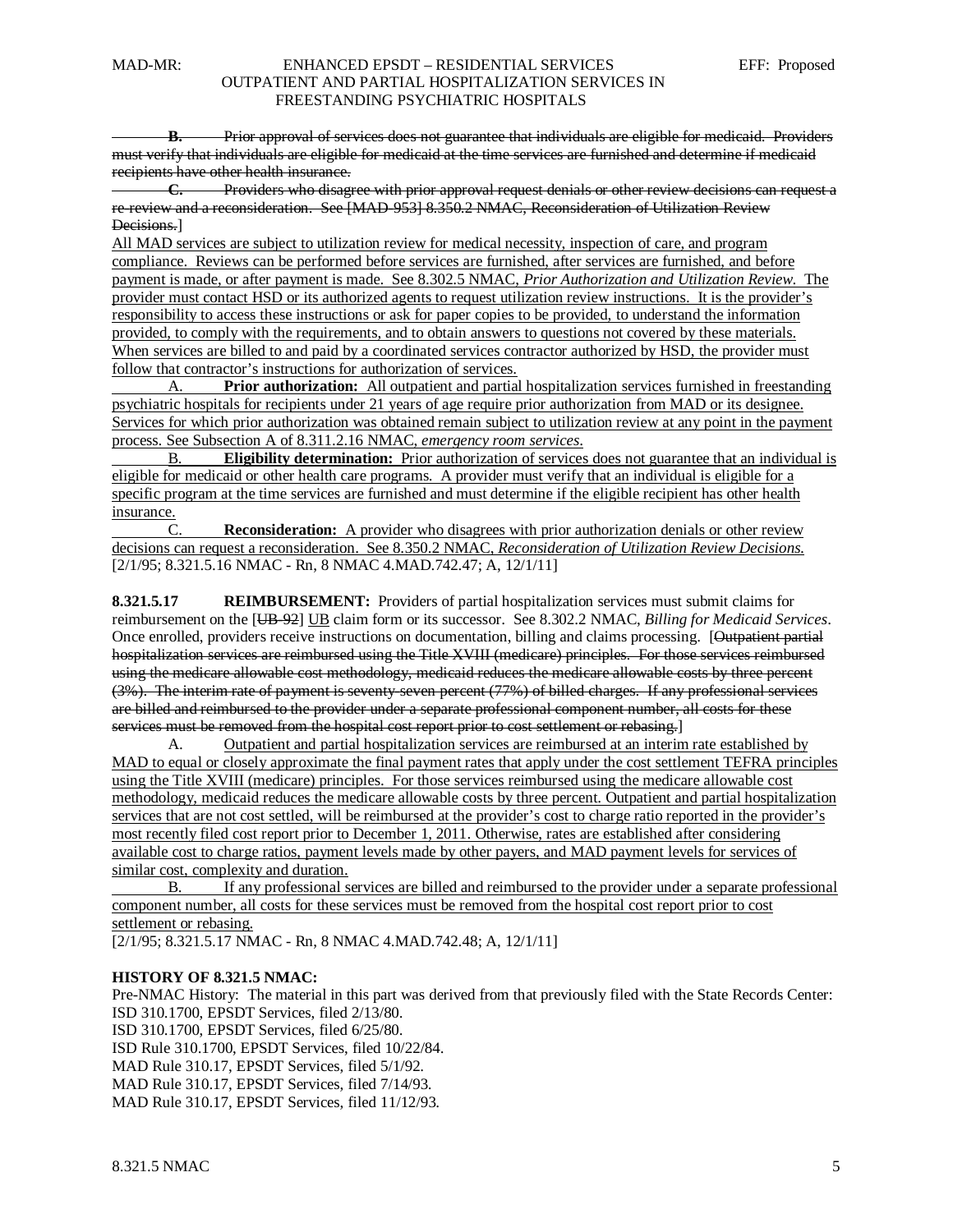**B.** Prior approval of services does not guarantee that individuals are eligible for medicaid. Providers must verify that individuals are eligible for medicaid at the time services are furnished and determine if medicaid recipients have other health insurance.

**C.** Providers who disagree with prior approval request denials or other review decisions can request a re-review and a reconsideration. See [MAD-953] 8.350.2 NMAC, Reconsideration of Utilization Review Decisions.]

All MAD services are subject to utilization review for medical necessity, inspection of care, and program compliance. Reviews can be performed before services are furnished, after services are furnished, and before payment is made, or after payment is made. See 8.302.5 NMAC, *Prior Authorization and Utilization Review*. The provider must contact HSD or its authorized agents to request utilization review instructions. It is the provider's responsibility to access these instructions or ask for paper copies to be provided, to understand the information provided, to comply with the requirements, and to obtain answers to questions not covered by these materials. When services are billed to and paid by a coordinated services contractor authorized by HSD, the provider must follow that contractor's instructions for authorization of services.

A. **Prior authorization:** All outpatient and partial hospitalization services furnished in freestanding psychiatric hospitals for recipients under 21 years of age require prior authorization from MAD or its designee. Services for which prior authorization was obtained remain subject to utilization review at any point in the payment process. See Subsection A of 8.311.2.16 NMAC, *emergency room services*.

B. **Eligibility determination:** Prior authorization of services does not guarantee that an individual is eligible for medicaid or other health care programs. A provider must verify that an individual is eligible for a specific program at the time services are furnished and must determine if the eligible recipient has other health insurance.

[2/1/95; 8.321.5.16 NMAC - Rn, 8 NMAC 4.MAD.742.47; A, 12/1/11] C. **Reconsideration:** A provider who disagrees with prior authorization denials or other review decisions can request a reconsideration. See 8.350.2 NMAC, *Reconsideration of Utilization Review Decisions.*

**8.321.5.17 REIMBURSEMENT:** Providers of partial hospitalization services must submit claims for reimbursement on the [UB-92] UB claim form or its successor. See 8.302.2 NMAC, *Billing for Medicaid Services*. Once enrolled, providers receive instructions on documentation, billing and claims processing. [Outpatient partial hospitalization services are reimbursed using the Title XVIII (medicare) principles. For those services reimbursed using the medicare allowable cost methodology, medicaid reduces the medicare allowable costs by three percent (3%). The interim rate of payment is seventy-seven percent (77%) of billed charges. If any professional services are billed and reimbursed to the provider under a separate professional component number, all costs for these services must be removed from the hospital cost report prior to cost settlement or rebasing. ]

A. Outpatient and partial hospitalization services are reimbursed at an interim rate established by MAD to equal or closely approximate the final payment rates that apply under the cost settlement TEFRA principles using the Title XVIII (medicare) principles. For those services reimbursed using the medicare allowable cost methodology, medicaid reduces the medicare allowable costs by three percent. Outpatient and partial hospitalization services that are not cost settled, will be reimbursed at the provider's cost to charge ratio reported in the provider's most recently filed cost report prior to December 1, 2011. Otherwise, rates are established after considering available cost to charge ratios, payment levels made by other payers, and MAD payment levels for services of similar cost, complexity and duration.

B. If any professional services are billed and reimbursed to the provider under a separate professional component number, all costs for these services must be removed from the hospital cost report prior to cost settlement or rebasing.

[2/1/95; 8.321.5.17 NMAC - Rn, 8 NMAC 4.MAD.742.48; A, 12/1/11]

## **HISTORY OF 8.321.5 NMAC:**

Pre-NMAC History: The material in this part was derived from that previously filed with the State Records Center: ISD 310.1700, EPSDT Services, filed 2/13/80. ISD 310.1700, EPSDT Services, filed 6/25/80. ISD Rule 310.1700, EPSDT Services, filed 10/22/84. MAD Rule 310.17, EPSDT Services, filed 5/1/92. MAD Rule 310.17, EPSDT Services, filed 7/14/93. MAD Rule 310.17, EPSDT Services, filed 11/12/93.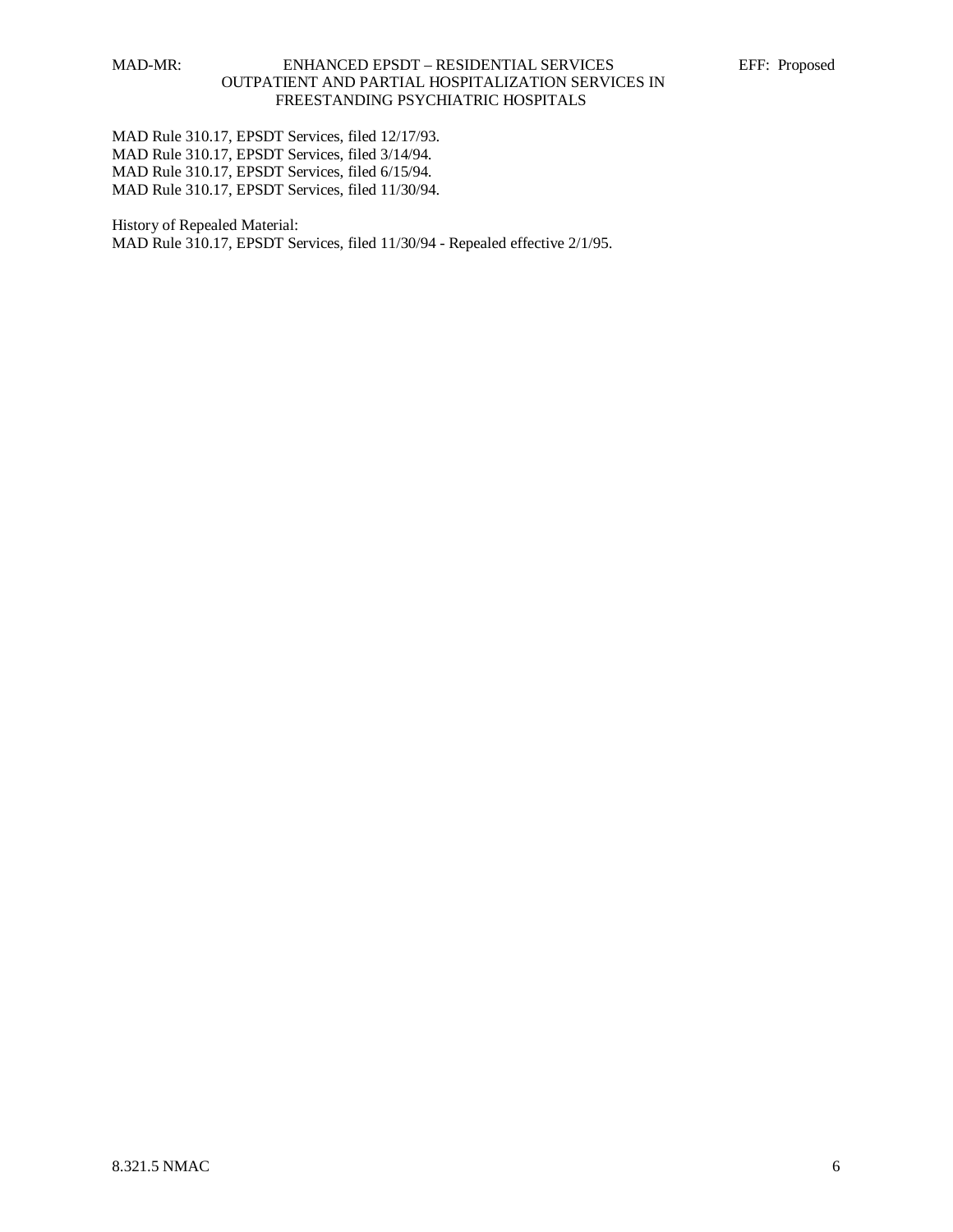MAD Rule 310.17, EPSDT Services, filed 12/17/93. MAD Rule 310.17, EPSDT Services, filed 3/14/94. MAD Rule 310.17, EPSDT Services, filed 6/15/94. MAD Rule 310.17, EPSDT Services, filed 11/30/94.

History of Repealed Material: MAD Rule 310.17, EPSDT Services, filed 11/30/94 - Repealed effective 2/1/95.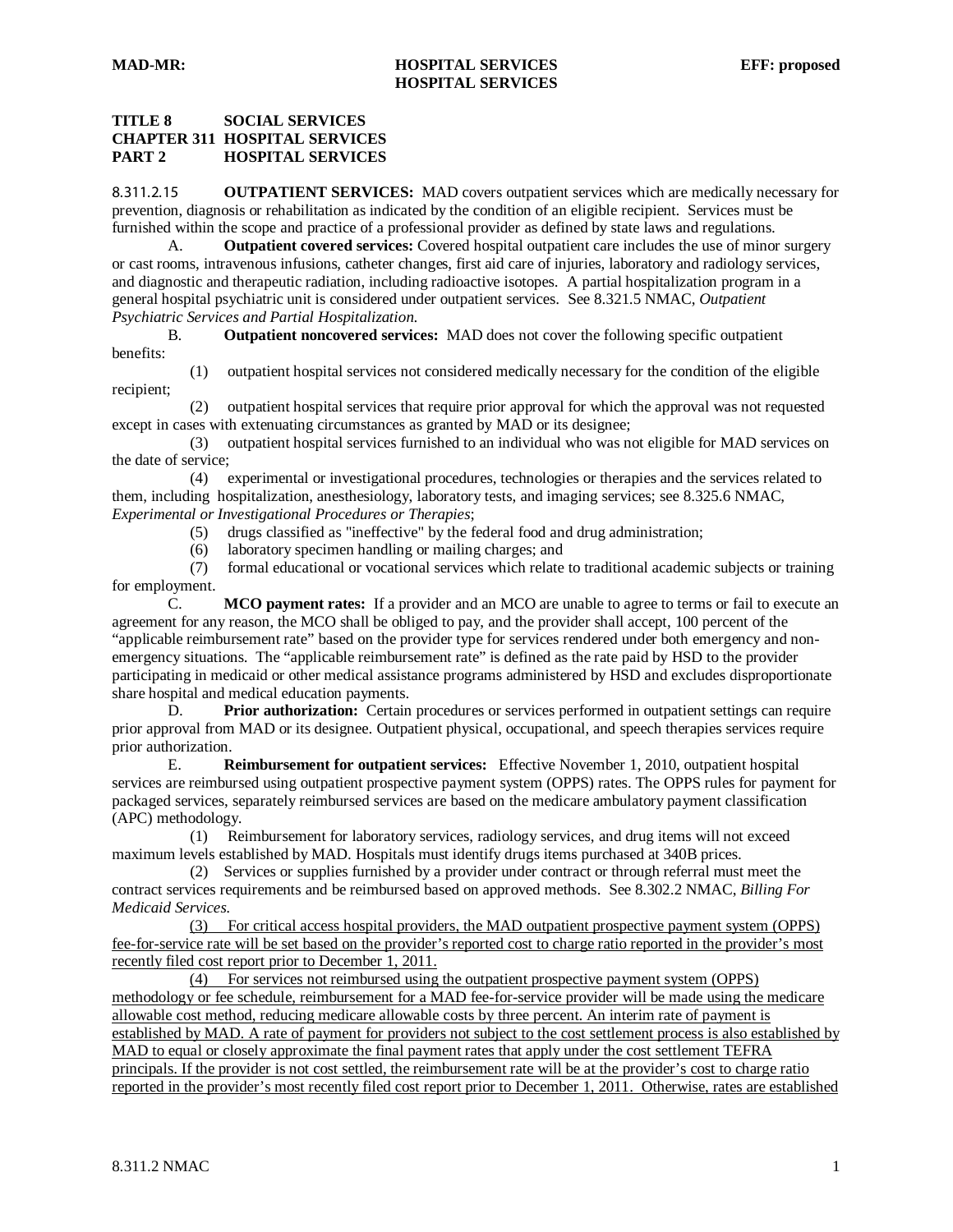### **TITLE 8 SOCIAL SERVICES CHAPTER 311 HOSPITAL SERVICES PART 2 HOSPITAL SERVICES**

8.311.2.15 **OUTPATIENT SERVICES:** MAD covers outpatient services which are medically necessary for prevention, diagnosis or rehabilitation as indicated by the condition of an eligible recipient. Services must be furnished within the scope and practice of a professional provider as defined by state laws and regulations.

A. **Outpatient covered services:** Covered hospital outpatient care includes the use of minor surgery or cast rooms, intravenous infusions, catheter changes, first aid care of injuries, laboratory and radiology services, and diagnostic and therapeutic radiation, including radioactive isotopes. A partial hospitalization program in a general hospital psychiatric unit is considered under outpatient services. See 8.321.5 NMAC, *Outpatient Psychiatric Services and Partial Hospitalization*.

B. **Outpatient noncovered services:** MAD does not cover the following specific outpatient benefits:

 (1) outpatient hospital services not considered medically necessary for the condition of the eligible recipient;

 (2) outpatient hospital services that require prior approval for which the approval was not requested except in cases with extenuating circumstances as granted by MAD or its designee;

 (3) outpatient hospital services furnished to an individual who was not eligible for MAD services on the date of service;<br>(4)  $\epsilon$ 

 (4) experimental or investigational procedures, technologies or therapies and the services related to them, including hospitalization, anesthesiology, laboratory tests, and imaging services; see 8.325.6 NMAC, *Experimental or Investigational Procedures or Therapies*;

- (5) drugs classified as "ineffective" by the federal food and drug administration;
- (6) laboratory specimen handling or mailing charges; and

 (7) formal educational or vocational services which relate to traditional academic subjects or training for employment.

C. **MCO payment rates:** If a provider and an MCO are unable to agree to terms or fail to execute an agreement for any reason, the MCO shall be obliged to pay, and the provider shall accept, 100 percent of the "applicable reimbursement rate" based on the provider type for services rendered under both emergency and nonemergency situations. The "applicable reimbursement rate" is defined as the rate paid by HSD to the provider participating in medicaid or other medical assistance programs administered by HSD and excludes disproportionate share hospital and medical education payments.

D. **Prior authorization:** Certain procedures or services performed in outpatient settings can require prior approval from MAD or its designee. Outpatient physical, occupational, and speech therapies services require prior authorization.

E. **Reimbursement for outpatient services:** Effective November 1, 2010, outpatient hospital services are reimbursed using outpatient prospective payment system (OPPS) rates. The OPPS rules for payment for packaged services, separately reimbursed services are based on the medicare ambulatory payment classification (APC) methodology.

 (1) Reimbursement for laboratory services, radiology services, and drug items will not exceed maximum levels established by MAD. Hospitals must identify drugs items purchased at 340B prices.

 (2) Services or supplies furnished by a provider under contract or through referral must meet the contract services requirements and be reimbursed based on approved methods. See 8.302.2 NMAC, *Billing For Medicaid Services.*

 (3) For critical access hospital providers, the MAD outpatient prospective payment system (OPPS) fee-for-service rate will be set based on the provider's reported cost to charge ratio reported in the provider's most recently filed cost report prior to December 1, 2011.

 (4) For services not reimbursed using the outpatient prospective payment system (OPPS) methodology or fee schedule, reimbursement for a MAD fee-for-service provider will be made using the medicare allowable cost method, reducing medicare allowable costs by three percent. An interim rate of payment is established by MAD. A rate of payment for providers not subject to the cost settlement process is also established by MAD to equal or closely approximate the final payment rates that apply under the cost settlement TEFRA principals. If the provider is not cost settled, the reimbursement rate will be at the provider's cost to charge ratio reported in the provider's most recently filed cost report prior to December 1, 2011. Otherwise, rates are established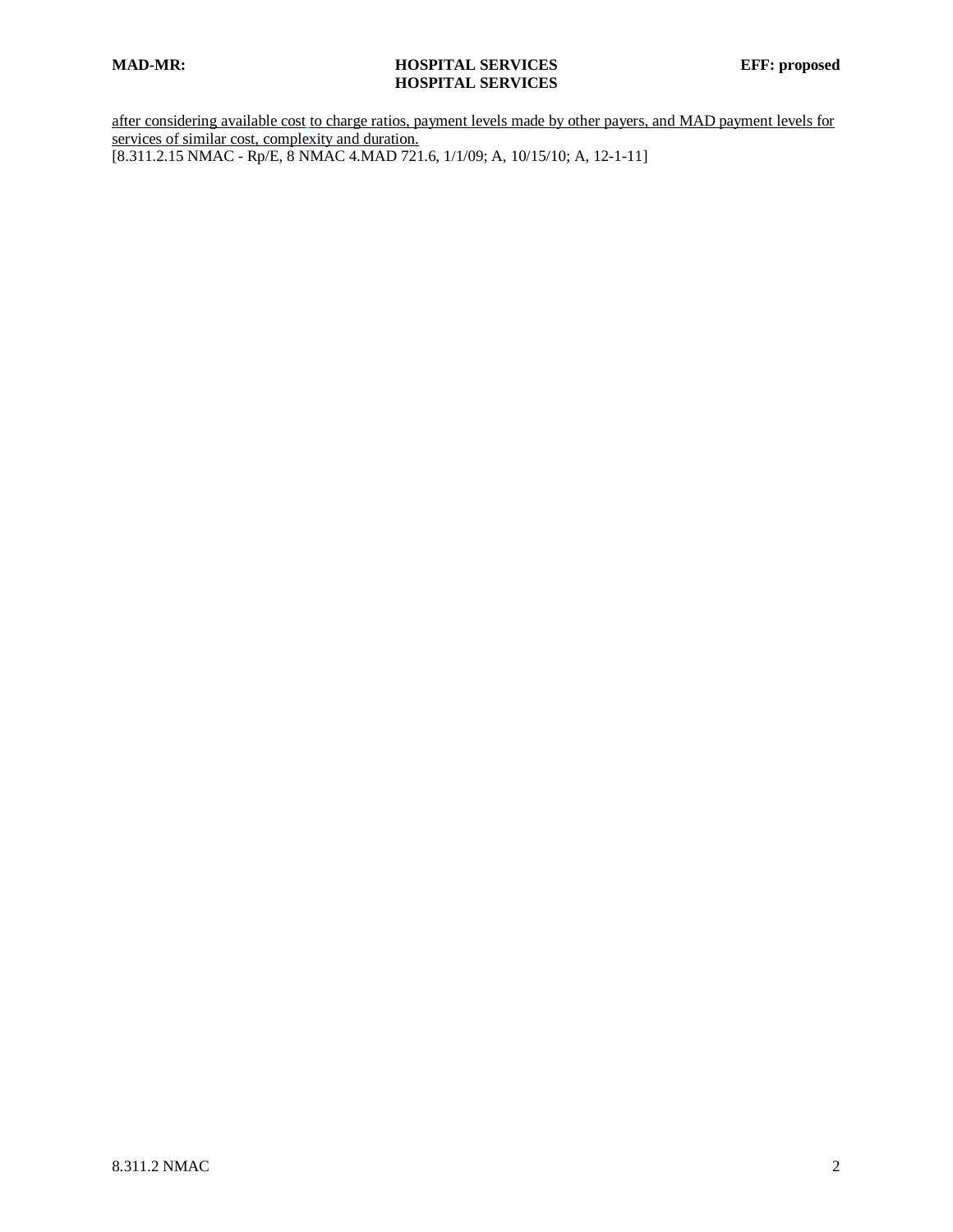## **MAD-MR: HOSPITAL SERVICES EFF: proposed HOSPITAL SERVICES**

after considering available cost to charge ratios, payment levels made by other payers, and MAD payment levels for services of similar cost, complexity and duration. [8.311.2.15 NMAC - Rp/E, 8 NMAC 4.MAD 721.6, 1/1/09; A, 10/15/10; A, 12-1-11]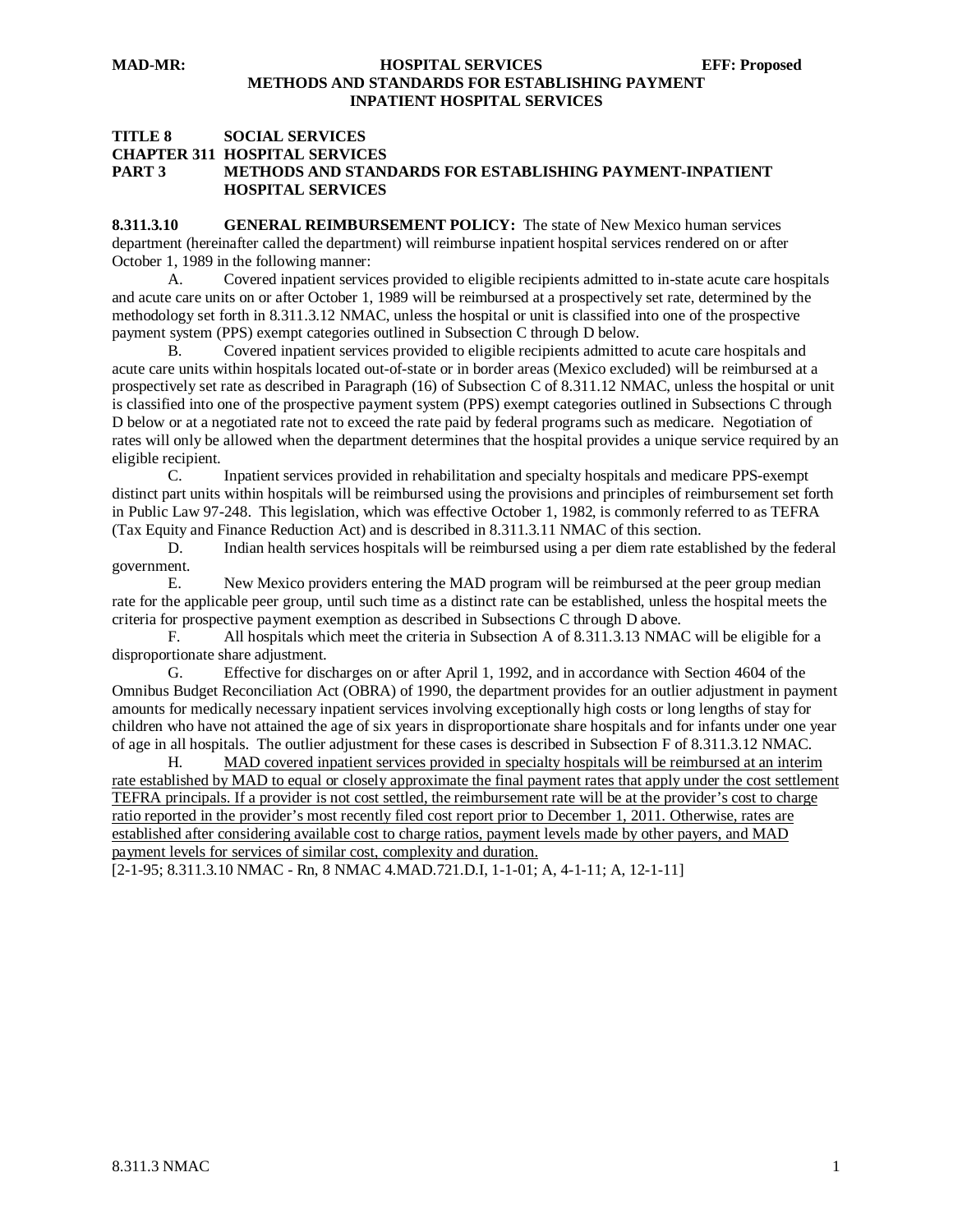#### **MAD-MR: HOSPITAL SERVICES EFF: Proposed METHODS AND STANDARDS FOR ESTABLISHING PAYMENT INPATIENT HOSPITAL SERVICES**

#### **TITLE 8 SOCIAL SERVICES CHAPTER 311 HOSPITAL SERVICES PART 3 METHODS AND STANDARDS FOR ESTABLISHING PAYMENT-INPATIENT HOSPITAL SERVICES**

**8.311.3.10 GENERAL REIMBURSEMENT POLICY:** The state of New Mexico human services department (hereinafter called the department) will reimburse inpatient hospital services rendered on or after October 1, 1989 in the following manner:

A. Covered inpatient services provided to eligible recipients admitted to in-state acute care hospitals and acute care units on or after October 1, 1989 will be reimbursed at a prospectively set rate, determined by the methodology set forth in 8.311.3.12 NMAC, unless the hospital or unit is classified into one of the prospective payment system (PPS) exempt categories outlined in Subsection C through D below.<br>B. Covered inpatient services provided to eligible recipients admitted

B. Covered inpatient services provided to eligible recipients admitted to acute care hospitals and acute care units within hospitals located out-of-state or in border areas (Mexico excluded) will be reimbursed at a prospectively set rate as described in Paragraph (16) of Subsection C of 8.311.12 NMAC, unless the hospital or unit is classified into one of the prospective payment system (PPS) exempt categories outlined in Subsections C through D below or at a negotiated rate not to exceed the rate paid by federal programs such as medicare. Negotiation of rates will only be allowed when the department determines that the hospital provides a unique service required by an eligible recipient.

C. Inpatient services provided in rehabilitation and specialty hospitals and medicare PPS-exempt distinct part units within hospitals will be reimbursed using the provisions and principles of reimbursement set forth in Public Law 97-248. This legislation, which was effective October 1, 1982, is commonly referred to as TEFRA (Tax Equity and Finance Reduction Act) and is described in 8.311.3.11 NMAC of this section.

D. Indian health services hospitals will be reimbursed using a per diem rate established by the federal government.

E. New Mexico providers entering the MAD program will be reimbursed at the peer group median rate for the applicable peer group, until such time as a distinct rate can be established, unless the hospital meets the criteria for prospective payment exemption as described in Subsections C through D above.

F. All hospitals which meet the criteria in Subsection A of 8.311.3.13 NMAC will be eligible for a disproportionate share adjustment.

G. Effective for discharges on or after April 1, 1992, and in accordance with Section 4604 of the Omnibus Budget Reconciliation Act (OBRA) of 1990, the department provides for an outlier adjustment in payment amounts for medically necessary inpatient services involving exceptionally high costs or long lengths of stay for children who have not attained the age of six years in disproportionate share hospitals and for infants under one year of age in all hospitals. The outlier adjustment for these cases is described in Subsection F of 8.311.3.12 NMAC.

H. MAD covered inpatient services provided in specialty hospitals will be reimbursed at an interim rate established by MAD to equal or closely approximate the final payment rates that apply under the cost settlement TEFRA principals. If a provider is not cost settled, the reimbursement rate will be at the provider's cost to charge ratio reported in the provider's most recently filed cost report prior to December 1, 2011. Otherwise, rates are established after considering available cost to charge ratios, payment levels made by other payers, and MAD payment levels for services of similar cost, complexity and duration.

[2-1-95; 8.311.3.10 NMAC - Rn, 8 NMAC 4.MAD.721.D.I, 1-1-01; A, 4-1-11; A, 12-1-11]